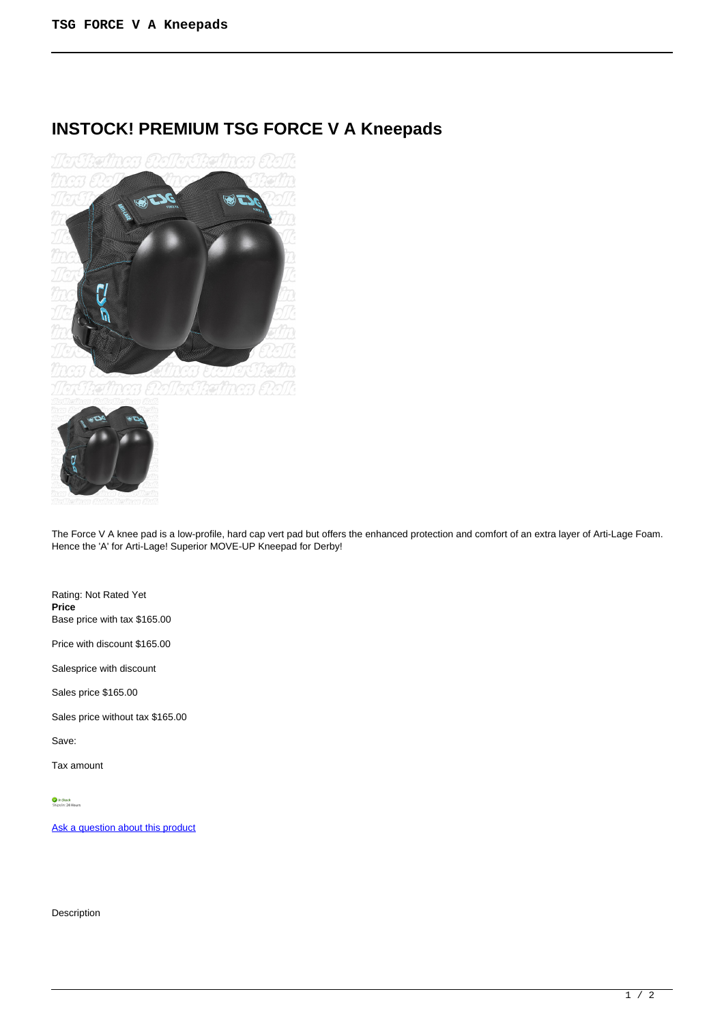# **INSTOCK! PREMIUM TSG FORCE V A Kneepads**





The Force V A knee pad is a low-profile, hard cap vert pad but offers the enhanced protection and comfort of an extra layer of Arti-Lage Foam. Hence the 'A' for Arti-Lage! Superior MOVE-UP Kneepad for Derby!

Rating: Not Rated Yet **Price**  Base price with tax \$165.00

Price with discount \$165.00

Salesprice with discount

Sales price \$165.00

Sales price without tax \$165.00

Save:

Tax amount

[Ask a question about this product](https://rollerskatin.ca/index.php?option=com_virtuemart&view=productdetails&task=askquestion&virtuemart_product_id=991&virtuemart_category_id=40&tmpl=component)

Description